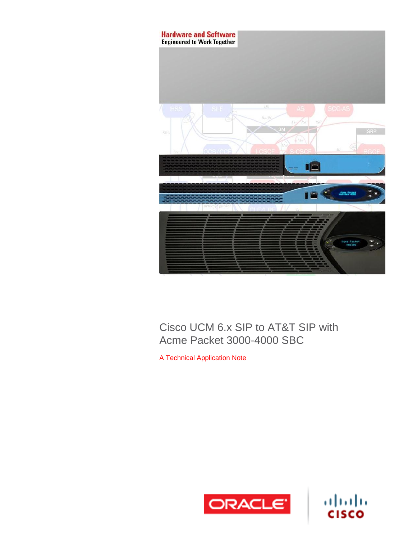

# Cisco UCM 6.x SIP to AT&T SIP with Acme Packet 3000-4000 SBC

A Technical Application Note



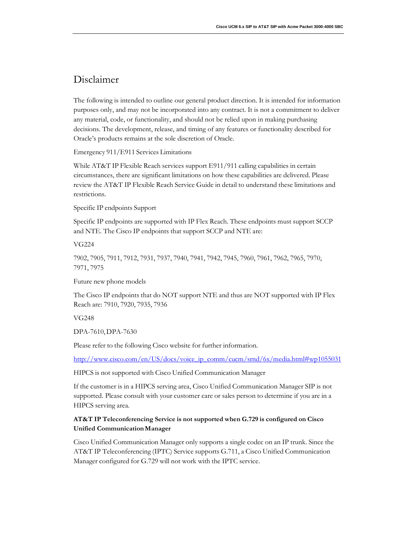# Disclaimer

The following is intended to outline our general product direction. It is intended for information purposes only, and may not be incorporated into any contract. It is not a commitment to deliver any material, code, or functionality, and should not be relied upon in making purchasing decisions. The development, release, and timing of any features or functionality described for Oracle's products remains at the sole discretion of Oracle.

Emergency 911/E911 Services Limitations

While AT&T IP Flexible Reach services support E911/911 calling capabilities in certain circumstances, there are significant limitations on how these capabilities are delivered. Please review the AT&T IP Flexible Reach Service Guide in detail to understand these limitations and restrictions.

Specific IP endpoints Support

Specific IP endpoints are supported with IP Flex Reach. These endpoints must support SCCP and NTE. The Cisco IP endpoints that support SCCP and NTE are:

VG224

7902, 7905, 7911, 7912, 7931, 7937, 7940, 7941, 7942, 7945, 7960, 7961, 7962, 7965, 7970, 7971, 7975

Future new phone models

The Cisco IP endpoints that do NOT support NTE and thus are NOT supported with IP Flex Reach are: 7910, 7920, 7935, 7936

VG248

DPA-7610,DPA-7630

Please refer to the following Cisco website for further information.

[http://www.cisco.com/en/US/docs/voice\\_ip\\_comm/cucm/srnd/6x/media.html#wp1055031](http://www.cisco.com/en/US/docs/voice_ip_comm/cucm/srnd/6x/media.html#wp1055031)

HIPCS is not supported with Cisco Unified Communication Manager

If the customer is in a HIPCS serving area, Cisco Unified Communication Manager SIP is not supported. Please consult with your customer care or sales person to determine if you are in a HIPCS serving area.

## **AT&T IP Teleconferencing Service is not supported when G.729 is configured on Cisco Unified CommunicationManager**

Cisco Unified Communication Manager only supports a single codec on an IP trunk. Since the AT&T IP Teleconferencing (IPTC) Service supports G.711, a Cisco Unified Communication Manager configured for G.729 will not work with the IPTC service.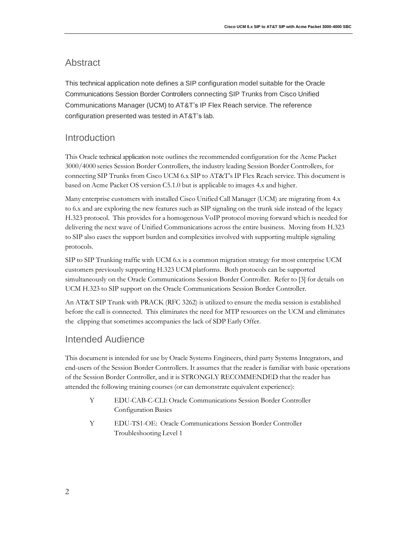## <span id="page-3-0"></span>Abstract

This technical application note defines a SIP configuration model suitable for the Oracle Communications Session Border Controllers connecting SIP Trunks from Cisco Unified Communications Manager (UCM) to AT&T's IP Flex Reach service. The reference configuration presented was tested in AT&T's lab.

## Introduction

This Oracle technical application note outlines the recommended configuration for the Acme Packet 3000/4000 series Session Border Controllers, the industry leading Session Border Controllers, for connecting SIP Trunks from Cisco UCM 6.x SIP to AT&T's IP Flex Reach service. This document is based on Acme Packet OS version C5.1.0 but is applicable to images 4.x and higher.

Many enterprise customers with installed Cisco Unified Call Manager (UCM) are migrating from 4.x to 6.x and are exploring the new features such as SIP signaling on the trunk side instead of the legacy H.323 protocol. This provides for a homogenous VoIP protocol moving forward which is needed for delivering the next wave of Unified Communications across the entire business. Moving from H.323 to SIP also eases the support burden and complexities involved with supporting multiple signaling protocols.

SIP to SIP Trunking traffic with UCM 6.x is a common migration strategy for most enterprise UCM customers previously supporting H.323 UCM platforms. Both protocols can be supported simultaneously on the Oracle Communications Session Border Controller. Refer to [3] for details on UCM H.323 to SIP support on the Oracle Communications Session Border Controller.

An AT&T SIP Trunk with PRACK (RFC 3262) is utilized to ensure the media session is established before the call is connected. This eliminates the need for MTP resources on the UCM and eliminates the clipping that sometimes accompanies the lack of SDP Early Offer.

## Intended Audience

This document is intended for use by Oracle Systems Engineers, third party Systems Integrators, and end-users of the Session Border Controllers. It assumes that the reader is familiar with basic operations of the Session Border Controller, and it is STRONGLY RECOMMENDED that the reader has attended the following training courses (or can demonstrate equivalent experience):

- Y EDU-CAB-C-CLI: Oracle Communications Session Border Controller Configuration Basics
- Y EDU-TS1-OE: Oracle Communications Session Border Controller Troubleshooting Level 1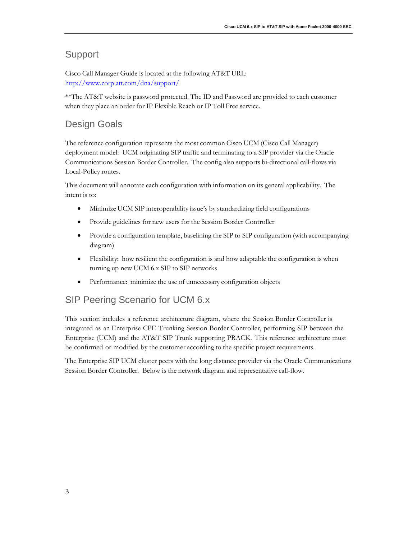## Support

Cisco Call Manager Guide is located at the following AT&T URL: <http://www.corp.att.com/dna/support/>

\*\*The AT&T website is password protected. The ID and Password are provided to each customer when they place an order for IP Flexible Reach or IP Toll Free service.

# <span id="page-4-0"></span>Design Goals

The reference configuration represents the most common Cisco UCM (Cisco Call Manager) deployment model: UCM originating SIP traffic and terminating to a SIP provider via the Oracle Communications Session Border Controller. The config also supports bi-directional call-flows via Local-Policy routes.

This document will annotate each configuration with information on its general applicability. The intent is to:

- Minimize UCM SIP interoperability issue's by standardizing field configurations
- Provide guidelines for new users for the Session Border Controller
- Provide a configuration template, baselining the SIP to SIP configuration (with accompanying diagram)
- Flexibility: how resilient the configuration is and how adaptable the configuration is when turning up new UCM 6.x SIP to SIP networks
- Performance: minimize the use of unnecessary configuration objects

# <span id="page-4-1"></span>SIP Peering Scenario for UCM 6.x

This section includes a reference architecture diagram, where the Session Border Controller is integrated as an Enterprise CPE Trunking Session Border Controller, performing SIP between the Enterprise (UCM) and the AT&T SIP Trunk supporting PRACK. This reference architecture must be confirmed or modified by the customer according to the specific project requirements.

The Enterprise SIP UCM cluster peers with the long distance provider via the Oracle Communications Session Border Controller. Below is the network diagram and representative call-flow.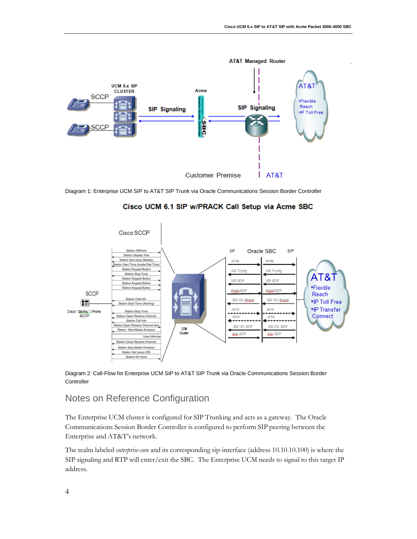

Diagram 1: Enterprise UCM SIP to AT&T SIP Trunk via Oracle Communications Session Border Controller



Cisco UCM 6.1 SIP w/PRACK Call Setup via Acme SBC

Diagram 2: Call-Flow for Enterprise UCM SIP to AT&T SIP Trunk via Oracle Communications Session Border **Controller** 

# <span id="page-5-0"></span>Notes on Reference Configuration

The Enterprise UCM cluster is configured for SIP Trunking and acts as a gateway. The Oracle Communications Session Border Controller is configured to perform SIP peering between the Enterprise and AT&T's network.

The realm labeled *enterprise-core* and its corresponding sip-interface (address 10.10.10.100) is where the SIP signaling and RTP will enter/exit the SBC. The Enterprise UCM needs to signal to this target IP address.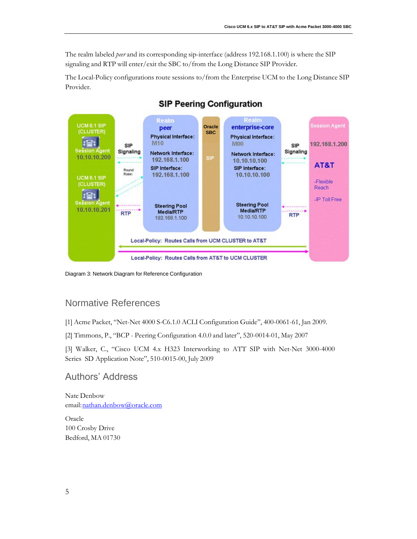The realm labeled *peer* and its corresponding sip-interface (address 192.168.1.100) is where the SIP signaling and RTP will enter/exit the SBC to/from the Long Distance SIP Provider.

The Local-Policy configurations route sessions to/from the Enterprise UCM to the Long Distance SIP Provider.



## **SIP Peering Configuration**

Diagram 3: Network Diagram for Reference Configuration

# <span id="page-6-0"></span>Normative References

[1] Acme Packet, "Net-Net 4000 S-C6.1.0 ACLI Configuration Guide", 400-0061-61, Jan 2009.

[2] Timmons, P., "BCP - Peering Configuration 4.0.0 and later", 520-0014-01, May 2007

[3] Walker, C., "Cisco UCM 4.x H323 Interworking to ATT SIP with Net-Net 3000-4000 Series SD Application Note", 510-0015-00, July 2009

## <span id="page-6-1"></span>Authors' Address

Nate Denbow email: nathan.denbow@oracle.com

Oracle 100 Crosby Drive Bedford, MA 01730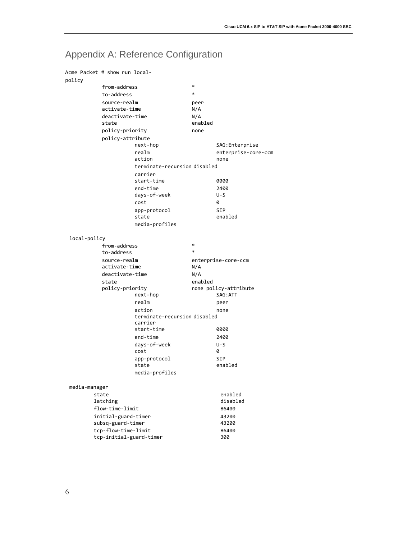# <span id="page-7-0"></span>Appendix A: Reference Configuration

| Acme Packet # show run local- |                               |                                         |                |                                   |
|-------------------------------|-------------------------------|-----------------------------------------|----------------|-----------------------------------|
| policy                        | from-address                  |                                         | *              |                                   |
|                               |                               |                                         | $\ast$         |                                   |
|                               | to-address                    |                                         |                |                                   |
|                               | source-realm<br>activate-time |                                         | peer<br>N/A    |                                   |
|                               |                               |                                         |                |                                   |
|                               | deactivate-time<br>state      |                                         | N/A<br>enabled |                                   |
|                               | policy-priority               |                                         | none           |                                   |
|                               | policy-attribute              |                                         |                |                                   |
|                               |                               | next-hop                                |                | SAG: Enterprise                   |
|                               |                               | realm<br>action                         |                | enterprise-core-ccm<br>none       |
|                               |                               | terminate-recursion disabled            |                |                                   |
|                               |                               | carrier                                 |                |                                   |
|                               |                               | start-time                              |                | 0000                              |
|                               |                               | end-time                                |                | 2400                              |
|                               |                               | days-of-week                            |                | U-S                               |
|                               |                               | cost                                    |                | 0                                 |
|                               |                               | app-protocol                            |                | <b>SIP</b>                        |
|                               |                               | state                                   |                | enabled                           |
|                               |                               | media-profiles                          |                |                                   |
| local-policy                  |                               |                                         |                |                                   |
|                               | from-address                  |                                         | $\ast$         |                                   |
|                               | to-address                    |                                         | $\ast$         |                                   |
|                               | source-realm                  |                                         |                | enterprise-core-ccm               |
|                               | activate-time                 |                                         | N/A            |                                   |
|                               | deactivate-time               |                                         | N/A            |                                   |
|                               | state                         |                                         | enabled        |                                   |
|                               | policy-priority               | next-hop                                |                | none policy-attribute<br>SAG: ATT |
|                               |                               | realm                                   |                | peer                              |
|                               |                               | action                                  |                | none                              |
|                               |                               | terminate-recursion disabled<br>carrier |                |                                   |
|                               |                               | start-time                              |                | 0000                              |
|                               |                               | end-time                                |                | 2400                              |
|                               |                               | days-of-week                            |                | $U-S$                             |
|                               |                               | cost                                    |                | 0                                 |
|                               |                               | app-protocol                            |                | <b>SIP</b>                        |
|                               |                               | state                                   |                | enabled                           |
|                               |                               | media-profiles                          |                |                                   |
| media-manager                 |                               |                                         |                |                                   |
|                               | state                         |                                         |                | enabled                           |
|                               | latching                      |                                         |                | disabled                          |
|                               | flow-time-limit               |                                         |                | 86400                             |
|                               | initial-guard-timer           |                                         |                | 43200                             |
|                               | subsq-guard-timer             |                                         |                | 43200                             |
|                               | tcp-flow-time-limit           |                                         |                | 86400                             |
|                               | tcp-initial-guard-timer       |                                         |                | 300                               |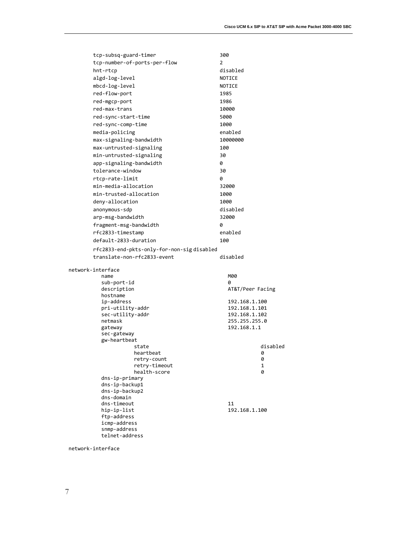| tcp-subsq-guard-timer                     | 300              |
|-------------------------------------------|------------------|
| tcp-number-of-ports-per-flow              | 2                |
| hnt-rtcp                                  | disabled         |
| algd-log-level                            | NOTICE           |
| mbcd-log-level                            | NOTICE           |
| red-flow-port                             | 1985             |
| red-mgcp-port                             | 1986             |
| red-max-trans                             | 10000            |
| red-sync-start-time                       | 5000             |
| red-sync-comp-time                        | 1000             |
| media-policing                            | enabled          |
| max-signaling-bandwidth                   | 10000000         |
| max-untrusted-signaling                   | 100              |
| min-untrusted-signaling                   | 30               |
| app-signaling-bandwidth                   | 0                |
| tolerance-window                          | 30               |
| rtcp-rate-limit                           | 0                |
| min-media-allocation                      | 32000            |
|                                           |                  |
| min-trusted-allocation                    | 1000             |
| deny-allocation                           | 1000             |
| anonymous-sdp                             | disabled         |
| arp-msg-bandwidth                         | 32000            |
| fragment-msg-bandwidth                    | 0                |
| rfc2833-timestamp                         | enabled          |
| default-2833-duration                     | 100              |
| rfc2833-end-pkts-only-for-non-sigdisabled |                  |
| translate-non-rfc2833-event               | disabled         |
| network-interface                         |                  |
| name                                      | M00              |
| sub-port-id                               | 0                |
| description                               | AT&T/Peer Facing |
| hostname<br>ip-address                    | 192.168.1.100    |
| pri-utility-addr                          | 192.168.1.101    |
| sec-utility-addr                          | 192.168.1.102    |
| netmask                                   | 255.255.255.0    |
| gateway                                   | 192.168.1.1      |
| sec-gateway                               |                  |
| gw-heartbeat<br>state                     | disabled         |
| heartbeat                                 | 0                |
| retry-count                               | 0                |
| retry-timeout                             | 1                |
| health-score                              | 0                |
| dns-ip-primary                            |                  |
| dns-ip-backup1<br>dns-ip-backup2          |                  |
| dns-domain                                |                  |
| dns-timeout                               | 11               |
| hip-ip-list                               | 192.168.1.100    |
| ftp-address                               |                  |
| icmp-address<br>snmp-address              |                  |
| telnet-address                            |                  |
|                                           |                  |

network-interface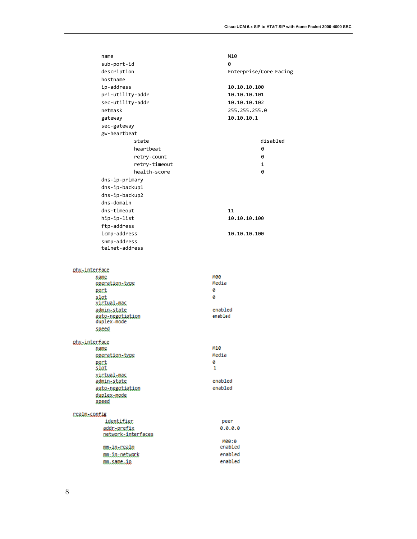| name                            | M10                    |
|---------------------------------|------------------------|
| sub-port-id                     | ø                      |
| description                     | Enterprise/Core Facing |
| hostname                        |                        |
| ip-address                      | 10.10.10.100           |
| pri-utility-addr                | 10.10.10.101           |
| sec-utility-addr                | 10.10.10.102           |
| netmask                         | 255.255.255.0          |
| gateway                         | 10.10.10.1             |
| sec-gateway                     |                        |
| gw-heartbeat                    |                        |
| state                           | disabled               |
| heartbeat                       | 0                      |
| retry-count                     | 0                      |
| retry-timeout                   | 1                      |
| health-score                    | 0                      |
| dns-ip-primary                  |                        |
| dns-ip-backup1                  |                        |
| dns-ip-backup2                  |                        |
| dns-domain                      |                        |
| dns-timeout                     | 11                     |
| hip-ip-list                     | 10.10.10.100           |
| ftp-address                     |                        |
| icmp-address                    | 10.10.10.100           |
| snmp-address                    |                        |
| telnet-address                  |                        |
|                                 |                        |
|                                 |                        |
| abx.interface<br>name           | мөө                    |
| operation.type                  | Media                  |
| port                            | Θ                      |
| slot                            | ø                      |
| <u>virtual-mac</u>              |                        |
| admin_state<br>auto-negotiation | enabled<br>enabled     |
| duplex-mode                     |                        |
| speed                           |                        |
| phy.interface                   |                        |
| name                            | M10                    |
| operation-type                  | Media                  |
| port                            | Θ                      |
| slot<br>xintual.mac             | 1                      |
| administate                     | enabled                |
| auto-negotiation                | enabled                |
| duplex-mode                     |                        |
| speed                           |                        |
| realm-sonfig                    |                        |
| identifier                      | peer                   |
| addr-prefix                     | 0.0.0.0                |
| network=interfaces              |                        |
| mm-in-nealm                     | M00:0<br>enabled       |
| mm.in.network                   | enabled                |
| mm-same-ip                      | enabled                |
|                                 |                        |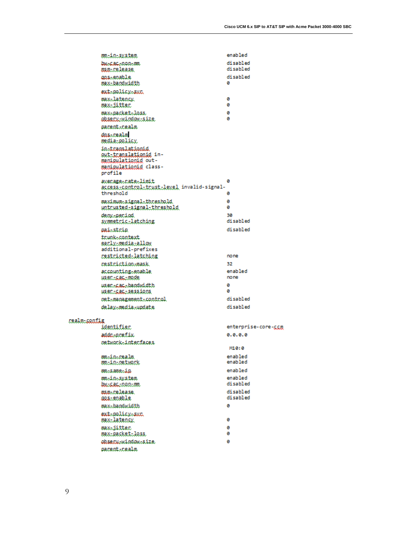enabled mainsystem baseacenon.com disabled disabled osoficelease. disabled aps-enable max-bandwidth ø ext-policy-sun max-latency. ø ø maxiitter max=packet=loss ø absecu-window-size ø pacent.cealm dnssrealm media-policy instranslationid out-translationid inmanipulationid outmanipulationid classprofile avenage=nate=limit ø access-control-trust-level invalid-signalthreshold ø maximum-signal-threshold ø ø untnusted\_signal\_thneshald deny-period 30 disabled symmetric-latching disabled paisstrip trunk-context sanly-media-allow additional-prefixes *restricted-latching* none cestciction-mask 32 accounting-enable enabled usen.sac.mode none usem-cac-bandwidth ø ø WEBCLEAELERSEÄRDE disabled ost-management-control delay=media=update disabled mealm-sentig identifier enterprise-core-com addc.prefix  $0.0.0.0$ ostwock-intecfaces M10:0 enabled mm.in.realm enabled mainaetwerk enabled mmsame.ip enabled mm.in.system but calculation disabled man-release. disabled disabled aastenable max-bandwidth ø ext-policy-sur max-latency. Θ maxiitter ø maxipacketiloss ø observindowisize ø pacenticealm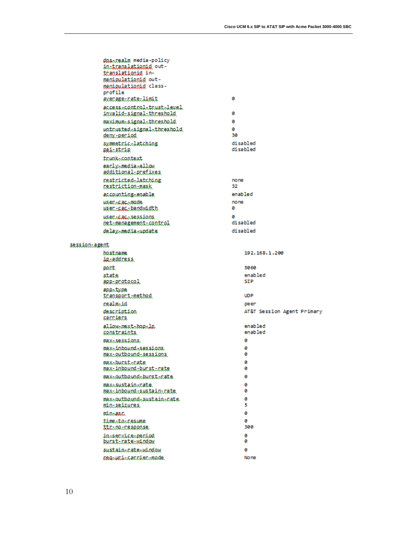|               | dns-realm media-policy<br><u>in translationid</u> out-<br>translationid in- |             |                            |
|---------------|-----------------------------------------------------------------------------|-------------|----------------------------|
|               | manipulationid out-<br>manipulationid class-<br>profile                     |             |                            |
|               | avenage-nate-limit<br>access-control-trust-level                            | ø           |                            |
|               | invalid-signal-threshold                                                    | ø           |                            |
|               | maximum-signal-threshold                                                    | ø           |                            |
|               | untrusted-signal-threshold<br><u>deny-period</u>                            | ø<br>30     |                            |
|               | symmetric.latching<br><u>nai-strin</u>                                      |             | disabled<br>disabled       |
|               | trunk=context                                                               |             |                            |
|               | early_media_allow<br>additional-prefixes                                    |             |                            |
|               | <i>restricted-latching</i><br>mestriction-mask                              | none<br>32. |                            |
|               | accounting-enable                                                           | enabled     |                            |
|               | usen-cac-mode<br><u>user-cac-bandwidth</u>                                  | none<br>ø   |                            |
|               | <i>user-cac-sessions</i><br>net-management-control                          | ø           | disabled                   |
|               | delay-media-undate                                                          |             | disabled                   |
| session-agent |                                                                             |             |                            |
|               | bostname<br><u>ip-address</u>                                               |             | 192.168.1.200              |
|               | pact                                                                        |             | 5060                       |
|               | state<br>app-protocol                                                       |             | enabled<br><b>STP</b>      |
|               | appatype<br>transport-method                                                |             | <b>UDP</b>                 |
|               | realm-id                                                                    |             | peer                       |
|               | description.<br><u>carriers</u>                                             |             | AT&T Session Agent Primary |
|               | allow-next-hop-lp<br><u>constraints</u>                                     |             | enabled<br>enabled         |
|               | max-sessions                                                                |             | ø                          |
|               | max-inbound-sessions<br>max-outbound-sessions                               |             | ø<br>ø                     |
|               | max-burst-rate<br>maxiinboundibucsticate                                    |             | ø<br>Θ                     |
|               | max.outhound.burst.rate                                                     |             | Θ                          |
|               | max-sustain-cate<br>max-inbound-sustain-rate                                |             | ø<br>ø                     |
|               | max-outbound-sustain-nate<br><u>min-seizures,</u>                           |             | Θ<br>5                     |
|               | min-asc                                                                     |             | ø                          |
|               | time.to.resume<br>ttc=02=cesponse                                           |             | ø<br>300                   |
|               | in-service-period<br>burst-rate-window                                      |             | ø<br>ø                     |
|               | sustain-rate-window                                                         |             | ø                          |
|               | ceg-uci-cacciec-mode.                                                       |             | No ne                      |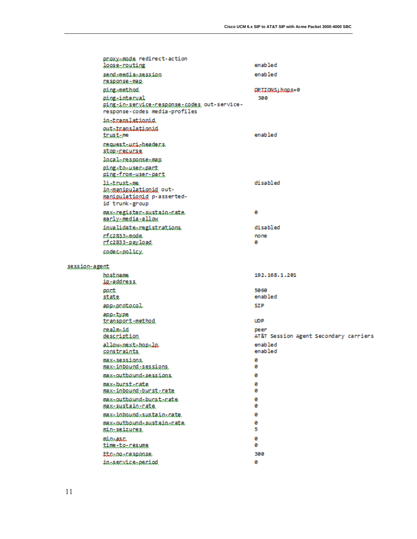|               | proxy-mode redirect-action<br>loose-routing                                                   | enabled                                       |
|---------------|-----------------------------------------------------------------------------------------------|-----------------------------------------------|
|               | send-media-session<br>Desponse-map.                                                           | enabled                                       |
|               | ping-method                                                                                   | OPIIONS:hons=0                                |
|               | ping-interval<br>ping-in-service-response-codes out-service-<br>response-codes media-profiles | 300                                           |
|               | instranslationid                                                                              |                                               |
|               | out-translationid<br>trust-me                                                                 | enabled                                       |
|               | nequest-uni-headers.<br>stop-necurse.                                                         |                                               |
|               | local-response-man                                                                            |                                               |
|               | ping-to-user-part<br>ping-from-user-part                                                      |                                               |
|               | listrustsme.<br>in-manigulationid out-<br>manipulationid p-asserted-<br>id trunk-group        | disabled                                      |
|               | maxe.negisteresustainenate<br>sarly_media_allow                                               | ø                                             |
|               | invalidate-registrations.                                                                     | disabled                                      |
|               | rfc2833-mode                                                                                  | none                                          |
|               | rfc2833-payload                                                                               | ø                                             |
|               | codec-policy.                                                                                 |                                               |
| session-agent |                                                                                               |                                               |
|               | bostname<br>ip-address                                                                        | 192, 168, 1, 201                              |
|               | part                                                                                          | 5060                                          |
|               | state                                                                                         | enabled                                       |
|               | app-protocol                                                                                  | SIP                                           |
|               | appatype<br>tcansport-method                                                                  | <b>UDP</b>                                    |
|               | realm-id<br><i>description</i>                                                                | peer<br>AT&T Session Agent Secondary carriers |
|               | allow-next-hop-lp<br>constraints                                                              | enabled<br>enabled                            |
|               | max-sessions<br>max-inbound-sessions                                                          | ø<br>ø                                        |
|               | max-outbound-sessions                                                                         | ø                                             |
|               | max-burst-cate<br>max-inbound-bucst-cate                                                      | ø<br>ø                                        |
|               | max-outbound-burst-nate<br><u>max-sustain-cate</u>                                            | ø<br>ø                                        |
|               | max-inbound-sustain-cate.                                                                     | ø                                             |
|               | max-outbound-sustain-nate                                                                     | ø                                             |
|               | min-seizures,                                                                                 | 5                                             |
|               | minassa<br>time.te.resume                                                                     | Θ<br>ø                                        |
|               | ttc=no=cesponse                                                                               | 300                                           |
|               | insservicesperiod                                                                             | Θ                                             |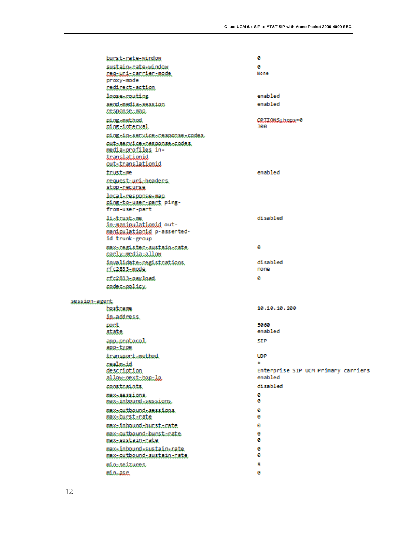|               | burstirateivinden                                                                             | Θ                                   |
|---------------|-----------------------------------------------------------------------------------------------|-------------------------------------|
|               | sustain-rate-window                                                                           | ø<br>None                           |
|               | regiunitannienimode<br>proxy-mode                                                             |                                     |
|               | redirect-action                                                                               |                                     |
|               | loose-routing                                                                                 | enabled                             |
|               | send-media-session<br>response-map.                                                           | enabled                             |
|               | ping-method<br>ging.interval                                                                  | ORIIONS:hons=0<br>300               |
|               | ping.in.secvice.cesponse.codes                                                                |                                     |
|               | outBserviceBresponseBrodes<br>media-profiles in-<br>translationid<br><u>out-translationid</u> |                                     |
|               | trustame                                                                                      | enabled                             |
|               | nequest-uni-headers.<br>stor-recurse                                                          |                                     |
|               | local-response-map<br>ging.to.user.part ping-<br>from-user-part                               |                                     |
|               | listrustsme<br>in-manipulationid out-<br>manipulationid p-asserted-<br>id trunk-group         | disabled                            |
|               | max-register-sustain-nate<br>early-media-allow                                                | ø                                   |
|               | invalidate-registrations.<br>rf.c2833-mode.                                                   | disabled<br>none                    |
|               | rf.c2833-pavload                                                                              | ø                                   |
|               | codecapolicy                                                                                  |                                     |
| session-agent |                                                                                               |                                     |
|               | hostname                                                                                      | 10.10.10.200                        |
|               | ip-address                                                                                    |                                     |
|               | part<br>state                                                                                 | 5060<br>enabled                     |
|               | app-protocol<br>app-type.                                                                     | SIP                                 |
|               | transport-method                                                                              | <b>UDP</b>                          |
|               | realmaid<br>description                                                                       | Enterprise SIP UCM Primary carriers |
|               | allow-mext-hep-le                                                                             | enabled                             |
|               | constraints.                                                                                  | disabled                            |
|               | max-sessions<br>max-inbound-sessions                                                          | ø<br>ø                              |
|               | max-outbound-sessions.<br>max-burst-rate                                                      | ø<br>ø                              |
|               | max-inhound-burst-rate<br>max-outbound-burst-rate                                             | ø<br>ø                              |
|               | max-sustain-cate                                                                              | ø                                   |
|               | max-inbound-sustain-rate.<br>max-outbound-sustain-nate                                        | ø<br>ø                              |
|               | min-seizures                                                                                  | 5                                   |
|               | minaasn                                                                                       | ø                                   |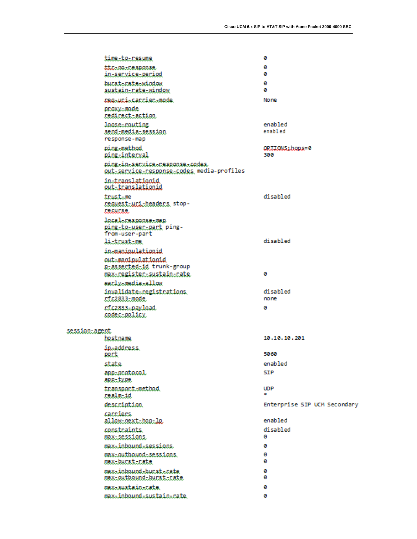|               | time.te.resume                                                               | G                            |
|---------------|------------------------------------------------------------------------------|------------------------------|
|               | ttc=no=cesponse<br>in-senvice-period                                         | ø<br>ø                       |
|               | bucsterateewindow<br><u>sustain-rate-window</u>                              | ø<br>ø                       |
|               | peg-upi-carrier-mode                                                         | No ne                        |
|               | proxy-mode<br>redirect.action                                                |                              |
|               | loose-routing<br><u>send-media-session</u><br>response-map                   | enabled<br>enabled           |
|               | ping-method<br><u>ping-interval</u>                                          | OPIIONS:hons=0<br>300        |
|               | ping.in.secvice.cesponse.codes<br>QUİ:SECVICE:CESDOOSE:SOdes media-profiles  |                              |
|               | instranslationid<br><u>out-translationid</u>                                 |                              |
|               | trustame<br>reguest-uri-beaders stop-<br>лесипае.                            | disabled                     |
|               | local-response-map<br>ping-to-usec-part ping-<br>from-user-part              |                              |
|               | listrustsme.                                                                 | disabled                     |
|               | in-manimulationid                                                            |                              |
|               | out-manipulationid<br>g-assected-id trunk-group<br>maxicegistecisustainicate | ø                            |
|               | eacly-media-allow                                                            |                              |
|               | invalidate-registrations.<br>rf.c2833-mode                                   | disabled<br>none             |
|               | rf.c2833.payload<br>codec-policy                                             | ø                            |
|               |                                                                              |                              |
| session-agent | hostname                                                                     | 10.10.10.201                 |
|               | ipaaddress                                                                   |                              |
|               | eact.                                                                        | 5060                         |
|               | state                                                                        | enabled                      |
|               | app-protocol<br>app-type                                                     | SIP                          |
|               | transport-method<br><u>realm-id</u>                                          | <b>UDP</b><br>۰              |
|               | description.                                                                 | Enterprise SIP UCM Secondary |
|               | cacciers<br>allow-mext-hep-le                                                | enabled                      |
|               | constraints.<br><b>MAX-SESSIONS</b>                                          | disabled<br>ø                |
|               | max-inbound-sessions                                                         | ø                            |
|               | max-outbound-sessions.<br>max-burst-nate                                     | ø<br>ø                       |
|               | max-inhound-burst-rate<br>max-outbound-burst-rate                            | ø<br>ø                       |
|               | max-sustain-cate.                                                            | ø                            |
|               | max-inbound-sustain-rate.                                                    | ø                            |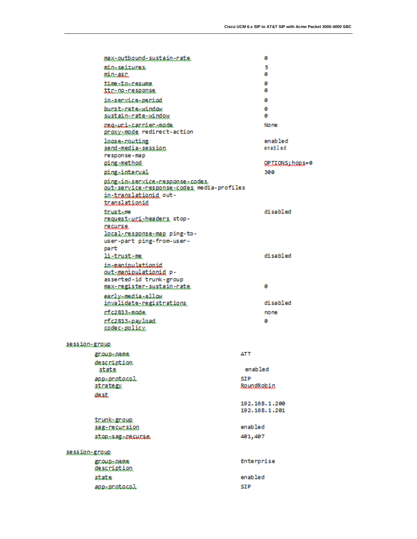|               | max-outbound-sustain-rate                                                                                 |                   | ø                                 |
|---------------|-----------------------------------------------------------------------------------------------------------|-------------------|-----------------------------------|
|               | min-seizures.<br>min-asc                                                                                  |                   | 5<br>ø                            |
|               | time.to.resume<br>ttring-response                                                                         |                   | ø<br>ø                            |
|               | insservicesperiod                                                                                         |                   | ø                                 |
|               | bucsterateewindow                                                                                         |                   | ø                                 |
|               | sustain-nate-window                                                                                       |                   | ø                                 |
|               | magaumia.cannienamode.<br>proxy-mode redirect-action                                                      |                   | No ne                             |
|               | loose-routing                                                                                             |                   | enabled                           |
|               | <u>send-media-session</u><br>response-map                                                                 |                   | enabled                           |
|               | ging.method                                                                                               |                   | QPJIONS; hops=0                   |
|               | ping-interval                                                                                             |                   | 300                               |
|               | ping.in.secvice.cesponse.codes<br>gut service response codes media-profiles<br>in-translatienid out-      |                   |                                   |
|               | <u>translationid</u>                                                                                      |                   |                                   |
|               | trustame<br>request-uri-headers stop-<br><b>recurse</b>                                                   |                   | disabled                          |
|               | local-response-map ping-to-<br>user-part ping-from-user-                                                  |                   |                                   |
|               | part<br>listrustsme.                                                                                      |                   | disabled                          |
|               | in-manimulationid<br><u>out-manieulationid</u> p-<br>asserted-id trunk-group<br>max-register-sustain-rate |                   | ø                                 |
|               | eaclysmediasallow                                                                                         |                   |                                   |
|               | invalidate-registrations.                                                                                 |                   | disabled                          |
|               | rf.c2833-mode                                                                                             |                   | none                              |
|               | rfc2833-payload<br><u>codec-policy</u>                                                                    |                   | ø                                 |
| session-group |                                                                                                           |                   |                                   |
|               | gnoup-name                                                                                                | ATT               |                                   |
|               | description                                                                                               | enabled           |                                   |
|               | state                                                                                                     |                   |                                   |
|               | app-protocol<br>strategy.                                                                                 | SIP<br>RoundRobin |                                   |
|               | dest                                                                                                      |                   |                                   |
|               |                                                                                                           |                   | 192.168.1.200<br>192, 168, 1, 201 |
|               | <u>trunk-group</u>                                                                                        |                   |                                   |
|               | sag-recursion                                                                                             | enabled           |                                   |
|               | stop-sag-recurse                                                                                          | 401,407           |                                   |
| session-group |                                                                                                           |                   |                                   |
|               | gnoup-name<br><u>description</u>                                                                          | Enterprise        |                                   |
|               | state                                                                                                     | enabled           |                                   |
|               | app-protocol                                                                                              | SIP               |                                   |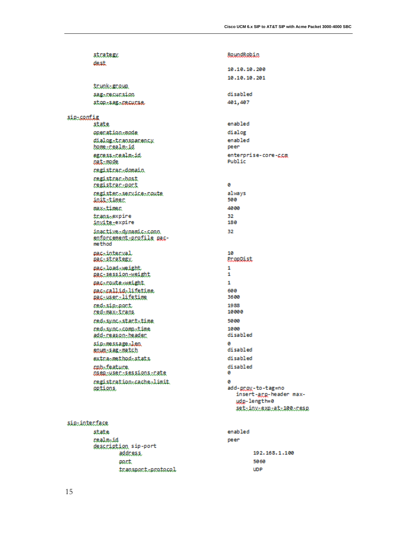| strategy.                                                   | <u>RoundRobin</u>                                                 |
|-------------------------------------------------------------|-------------------------------------------------------------------|
| dest                                                        |                                                                   |
|                                                             | 10,10,10,200                                                      |
|                                                             | 10.10.10.201                                                      |
| <u>trunk-group</u>                                          | disabled                                                          |
| sag-recursion<br>stop:sag::Decucse                          | 401,407                                                           |
|                                                             |                                                                   |
| sie-contie                                                  |                                                                   |
| state                                                       | enabled                                                           |
| operation-mode                                              | dialog                                                            |
| dialog=transparency                                         | enabled                                                           |
| home-realm-id                                               | peer                                                              |
| egoessicealmid<br><u>nat-mode</u>                           | enterprise-core-ccm<br>Public                                     |
| megistmam.domain                                            |                                                                   |
| <i>cegistrac.bost</i>                                       |                                                                   |
| registrar-port                                              | ø                                                                 |
| negistenssenvicesnoute                                      | always                                                            |
| init-timer                                                  | 500                                                               |
| max-timer                                                   | 4000                                                              |
| transsexpire                                                | 32.                                                               |
| invite-expire                                               | 180                                                               |
| inactive-dynamic-conn<br>enforcement-profile pac-<br>method | 32                                                                |
| pachinterval<br>aasistrategy                                | 10<br><b>PropDist</b>                                             |
| pacaloadaweight                                             | 1                                                                 |
| <u>pac-session-weight</u>                                   | 1                                                                 |
| pac-route-weight                                            | 1                                                                 |
| mac-callid-lifetime<br><u>pas-user-lifetime</u>             | 600<br>3600                                                       |
| red=sin=nort                                                | 1988                                                              |
| <u>red-max-trans</u>                                        | 10000                                                             |
| red=sync=stact=time                                         | 5000                                                              |
| redisyncicompitime<br><u>add-reason-beader</u>              | 1000<br>disabled                                                  |
| sin=message=len<br><u>eoum-sag-match</u>                    | ø<br>disabled                                                     |
| extcasmethodsstats                                          | disabled                                                          |
| cph-feature.<br><u>oseg-user-sessions-rate</u>              | disabled<br>ø                                                     |
| registration-cache-limit<br><u>options</u>                  | ø<br>add-groy-to-tag=no<br>insert-arg-header max-<br>udo-length=0 |

## siemintenface

| state                | enabled |               |
|----------------------|---------|---------------|
| realm-id             | peer    |               |
| description sip-port |         |               |
| address.             |         | 192.168.1.100 |
| port                 |         | 5060          |
| transport-protocol   |         | <b>UDP</b>    |
|                      |         |               |

settingtexetett100tcese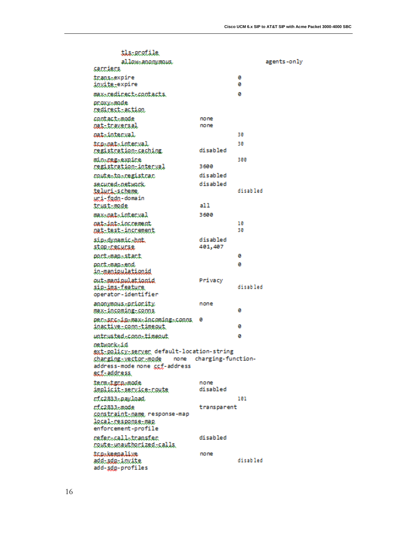| tls=profile                                             |                    |          |             |
|---------------------------------------------------------|--------------------|----------|-------------|
| allow-anonymous.                                        |                    |          | agents-only |
| sacciers                                                |                    |          |             |
| transaexpire<br>invite-expire                           |                    | ø<br>ø   |             |
| max-redirect-contacts.                                  |                    | ø        |             |
| proxy-mode<br><u>redirect-action.</u>                   |                    |          |             |
| contact-mode                                            | none               |          |             |
| matitraversal                                           | none               |          |             |
| nat-interval                                            |                    | 30       |             |
| tap-pat-interval<br>registration-saching,               | disabled           | 30       |             |
| minacegaexpice                                          |                    | 300      |             |
| registration-interval                                   | 3600               |          |             |
| <i>coutestoscegistrac</i>                               | disabled           |          |             |
| secured-network.                                        | disabled           |          |             |
| teluri-scheme<br>uri-fodn-domain                        |                    | disabled |             |
| trust-mode                                              | a1 1               |          |             |
| max-nat-interval                                        | 3600               |          |             |
| <i>oat-int-increment</i>                                |                    | 10       |             |
| <u>oat-test-increment</u>                               |                    | 30       |             |
| sin-dynamic-hnt                                         | disabled           |          |             |
| stop-necurse                                            | 401,407            |          |             |
| post-map-stact                                          |                    | ø        |             |
| pact.map.com<br>in-manipulationid                       |                    | ø        |             |
| out-maniqulationid                                      | Privacy            |          |             |
| <u>sig-ims-feature</u><br>operator-identifier           |                    | disabled |             |
| anonymous.priority                                      | none               |          |             |
| max-incoming-sonns                                      |                    | ø        |             |
| perssposinsmaxsinoomings.comms.<br>inactive.com.timeout | ø                  | ø        |             |
| untrusted-conn-timeout                                  |                    | ø        |             |
| oetwork-id                                              |                    |          |             |
| ext-policy-server default-location-string               |                    |          |             |
| shanging-vector-mode none                               | charging-function- |          |             |
| address-mode none ccf-address<br><u>ecf-address</u>     |                    |          |             |
|                                                         |                    |          |             |
| term-tgra-mode<br>implicit_service_route                | none<br>disabled   |          |             |
| rf.c2833.pay.load.                                      |                    | 191      |             |
| cf.c2833.mode                                           | transparent        |          |             |
| sonstraint-name response-map                            |                    |          |             |
| local-response-map                                      |                    |          |             |
| enforcement-profile                                     |                    |          |             |
| nefendaallatnansfen                                     | disabled           |          |             |
| coute-unauthorized-calls                                |                    |          |             |
| topokeepalive<br><u>add-sdp-invite</u>                  | none               | disabled |             |
| add-sdg-profiles                                        |                    |          |             |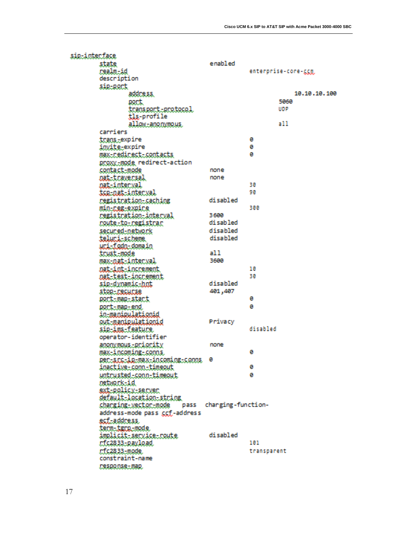| sig-interface |                                                          |                         |             |                     |
|---------------|----------------------------------------------------------|-------------------------|-------------|---------------------|
|               | state                                                    | enabled                 |             |                     |
|               | realm-id                                                 |                         |             | enterprise-core-ggg |
|               | description                                              |                         |             |                     |
|               | sig-port                                                 |                         |             |                     |
|               | address                                                  |                         |             | 10.10.10.100        |
|               | port.                                                    |                         |             | 5060                |
|               | <u>transport-protocol</u>                                |                         |             | UDP                 |
|               | tls-profile                                              |                         |             |                     |
|               | allow-anonymous.                                         |                         |             | a 11                |
|               | carriers                                                 |                         |             |                     |
|               | trans-expire                                             |                         | ø           |                     |
|               | i <u>nvite-</u> expire                                   |                         | ø           |                     |
|               | max-nedinect-contacts.                                   |                         | ø           |                     |
|               | proxy-mode redirect-action                               |                         |             |                     |
|               | contact-mode                                             | none                    |             |                     |
|               | oat-traversal                                            | none                    |             |                     |
|               | <u>nat-interval</u>                                      |                         | 30          |                     |
|               | <u>tce-nat-interval</u>                                  |                         | 90          |                     |
|               | registration-caching                                     | disabled                |             |                     |
|               | <u>min-neg-expire</u>                                    |                         | 300         |                     |
|               | registration-interval                                    | 3600                    |             |                     |
|               | coute-to-cegistrar                                       | disabled                |             |                     |
|               | secured-network                                          | disabled                |             |                     |
|               | teluni-scheme.                                           | disabled                |             |                     |
|               | uci-fada-domain                                          |                         |             |                     |
|               | <u>trust-mode</u>                                        | a11                     |             |                     |
|               | max-nat-interval                                         | 3600                    |             |                     |
|               | mat-int-increment.                                       |                         | 10          |                     |
|               | matitestiinonement                                       |                         | 30          |                     |
|               | sip-dynamic-hot                                          | disabled                |             |                     |
|               | stor-decudes                                             | 401,407                 |             |                     |
|               | aoct.mag.stact                                           |                         | ø           |                     |
|               | port-map-end                                             |                         | ø           |                     |
|               | in-manipulationid                                        |                         |             |                     |
|               | out-manipulationid                                       | Privacy                 | disabled    |                     |
|               | sip-ims-feature                                          |                         |             |                     |
|               | operator-identifier                                      |                         |             |                     |
|               | anonymous-priority                                       | none                    | ø           |                     |
|               | <u>max-incoming-conns</u>                                |                         |             |                     |
|               | Rentangtiktuaxtingomingtgonna 0<br>inactive.conn.timeout |                         | ø           |                     |
|               |                                                          |                         | ø           |                     |
|               | untrusted-conn-timeout<br>network-id                     |                         |             |                     |
|               | sxt-policy-server                                        |                         |             |                     |
|               | default-location-string                                  |                         |             |                     |
|               | <u>charging-vector-mode</u>                              | pass charging-function- |             |                     |
|               | address-mode pass ccf-address                            |                         |             |                     |
|               | <u>ecf-address.</u>                                      |                         |             |                     |
|               | tern-tern-mode                                           |                         |             |                     |
|               | implicit-service-route                                   | disabled                |             |                     |
|               | r:fc2833-payload                                         |                         | 101         |                     |
|               | r:fc2833-mode.                                           |                         | transparent |                     |
|               | constraint-name                                          |                         |             |                     |
|               | Desponse-map.                                            |                         |             |                     |
|               |                                                          |                         |             |                     |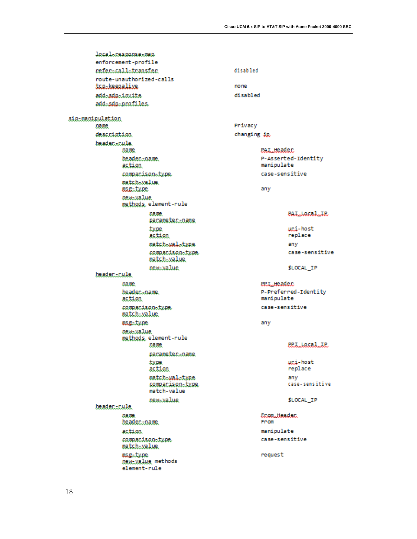local-response-map enforcement-profile neferacallatransfer. disabled route-unauthorized-calls togolseegalive none add-sdo-invite disabled add-sdp-profiles sie-manieulation Privacy Dame. changing ip. description. beadec.cule. **PAL Header** Dame. beadec...name. P-Asserted-Identity action manipulate case-sensitive compacison-type match-walue. **USE-type** any *pewayalue* methods, element-rule **DATE PALLOCALLIP** aacamatacioama uni-host type replace action match-wal-type any companison-type case-sensitive match-value. new-value \$LOCAL IP beader...cule **DADR BRILHeader** P-Preferred-Identity beadec...name. action manipulate compacison-type case-sensitive match-value magatype any new-value methods, element-rule **ERLLACALLE Dame** pacameter.coame type uni-host replace action match-wal-type any case-sensitive sompanison-type. match-value \$LOCAL\_IP *pewayalue* beader..rule. Econ\_Headec. name. beader...pape. From action. manipulate case-sensitive companison-type match-value. msg-type request DRW-Value methods element-rule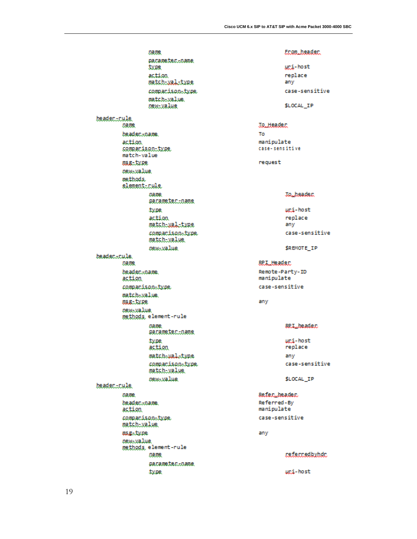**Dame** pacameter.coame **type** action match-xal-type companison-type match-value new-value beader...cule. Dame. beadec...name. action sommanison-type match-value **USE-type** new-value methods. elementicule page. gacameter...name type action match-xal-type compacison-type match-value. *pew-value* beader...cule. name. beader...name. action compacison-type match-walue. **USE-JARE** oewivalue methods, element-rule page. aacameter...name type. action match-wal-type compacison-type match-value. **DRW-Walue** beader..rule. pame. beadec...name. action compacison-type match-value. asg-type **DRW-Walue** methods, element-rule name.

pacameter.coame type

Econ\_header.

uci-host replace any case-sensitive

\$LOCAL\_IP

## **Jo\_Header**

To manipulate case-sensitive

request

### **Jo<sub>u</sub>header**

uni-host replace any case-sensitive

\$REMOTE\_IP

### **BPL\_Header**

Remote-Party-ID manipulate case-sensitive

#### any

## **SP.L.header**

uni-host replace any case-sensitive

\$LOCAL\_IP

### Refer\_header.

Referred-By manipulate case-sensitive

any

#### referredbyhdr.

uni-host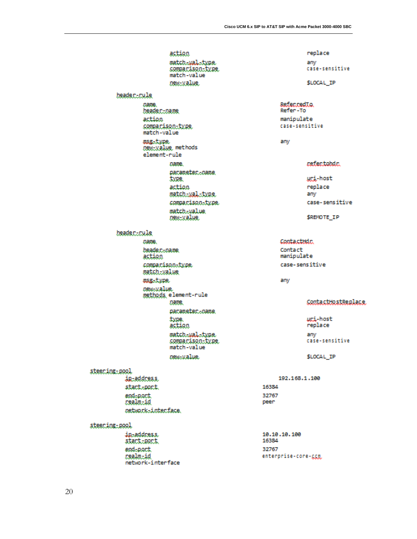action match-wal-type somparison-type. match-value new-value. header-rule name. beadercoane. action sompacison-type. match-value asgetype. Dewtwalue methods element-rule name. pacameter...pame **type** action match-xal-type compacison-type. match.value new-value header\_rule pame. beade.c.coame. action compacison-type match.walue asgetype. oew.value methods element-rule Dame. pacameter...pame type. action match.wal.type comparison-type match-value osw-value. steeming: pool in-address. stact.port 16384 end-pact. 32767 realm.id peer oetwork=interface. steeming.pool in-address. stact.poct 16384 end-port. 32767 realm-id

replace any case-sensitive

\$LOCAL IP

## ReferredIa Refer-To manipulate

case-sensitive

any

### refertobdr.

uci-host replace any case-sensitive

\$REMOTE\_IP

Contactiidr. Contact manipulate case-sensitive

any

### ContactHostBenlace.

uni-host replace any case-sensitive

\$LOCAL IP

```
192.168.1.100
```
10.10.10.100 enterprise-core-ggp

network-interface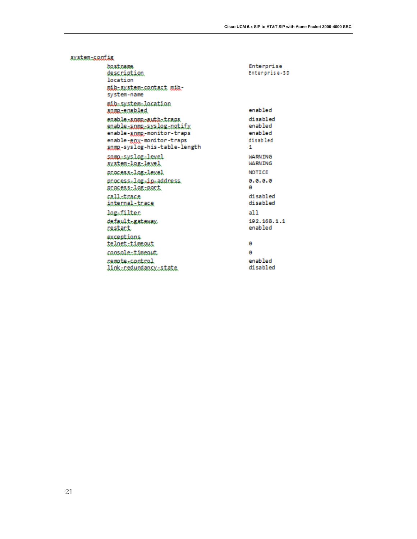| system-config                                                                                                                                |                                                 |
|----------------------------------------------------------------------------------------------------------------------------------------------|-------------------------------------------------|
| bostname<br>description<br>location<br>mib-system-contact mib-<br>system-name                                                                | Enterprise<br>Enterprise-SD                     |
| mib-system-location<br>somp-enabled                                                                                                          | enabled                                         |
| enable-somp-auth-traps<br>eoable-somp-syslog-notify<br>enable-snmp-monitor-traps<br>enable-gny-monitor-traps<br>somg-syslog-his-table-length | disabled<br>enabled<br>enabled<br>disabled<br>1 |
| snmn-syslog-level<br>system-log-level                                                                                                        | <b>WARNING</b><br><b>WARN TNG</b>               |
| process-log-level                                                                                                                            | <b>NOTICE</b>                                   |
| process-log-in-address.<br>process-log-port                                                                                                  | 0.0.0.0<br>ø                                    |
| call-trace<br>internal-trace                                                                                                                 | disabled<br>disabled                            |
| logafilten                                                                                                                                   | a11                                             |
| default-gateway.<br>nestant.                                                                                                                 | 192.168.1.1<br>enabled                          |
| exceptions<br>telnet.timeout                                                                                                                 | ø                                               |
| console-timeout                                                                                                                              | ø                                               |
| remote-control<br><u>link-redundancy-state</u>                                                                                               | enabled<br>disabled                             |